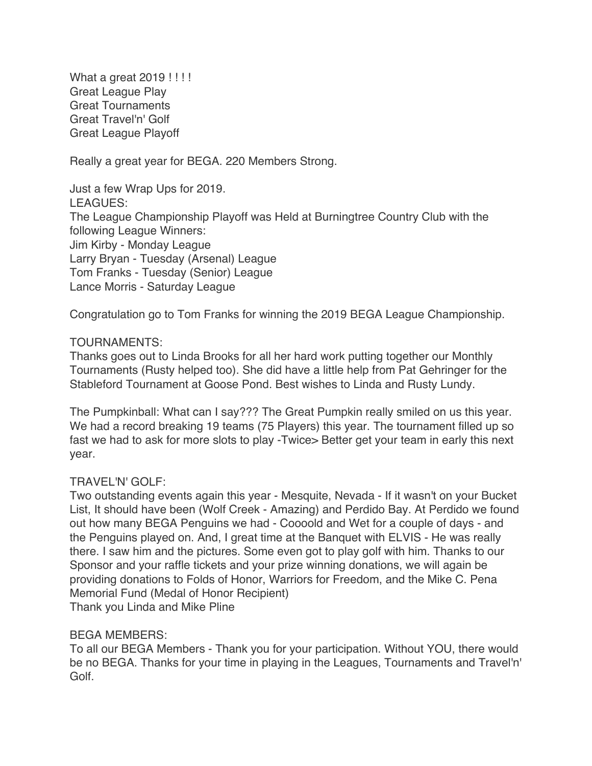What a great 2019 !!!! Great League Play Great Tournaments Great Travel'n' Golf Great League Playoff

Really a great year for BEGA. 220 Members Strong.

Just a few Wrap Ups for 2019. LEAGUES: The League Championship Playoff was Held at Burningtree Country Club with the following League Winners: Jim Kirby - Monday League Larry Bryan - Tuesday (Arsenal) League Tom Franks - Tuesday (Senior) League Lance Morris - Saturday League

Congratulation go to Tom Franks for winning the 2019 BEGA League Championship.

## TOURNAMENTS:

Thanks goes out to Linda Brooks for all her hard work putting together our Monthly Tournaments (Rusty helped too). She did have a little help from Pat Gehringer for the Stableford Tournament at Goose Pond. Best wishes to Linda and Rusty Lundy.

The Pumpkinball: What can I say??? The Great Pumpkin really smiled on us this year. We had a record breaking 19 teams (75 Players) this year. The tournament filled up so fast we had to ask for more slots to play -Twice> Better get your team in early this next year.

## TRAVEL'N' GOLF:

Two outstanding events again this year - Mesquite, Nevada - If it wasn't on your Bucket List, It should have been (Wolf Creek - Amazing) and Perdido Bay. At Perdido we found out how many BEGA Penguins we had - Coooold and Wet for a couple of days - and the Penguins played on. And, I great time at the Banquet with ELVIS - He was really there. I saw him and the pictures. Some even got to play golf with him. Thanks to our Sponsor and your raffle tickets and your prize winning donations, we will again be providing donations to Folds of Honor, Warriors for Freedom, and the Mike C. Pena Memorial Fund (Medal of Honor Recipient) Thank you Linda and Mike Pline

### BEGA MEMBERS:

To all our BEGA Members - Thank you for your participation. Without YOU, there would be no BEGA. Thanks for your time in playing in the Leagues, Tournaments and Travel'n' Golf.